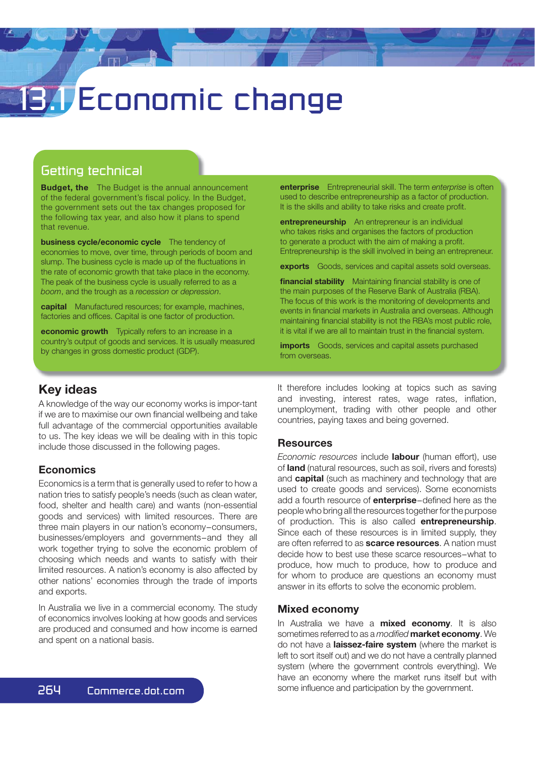# **1** Economic change

## Getting technical

**Budget, the** The Budget is the annual announcement of the federal government's fiscal policy. In the Budget, the government sets out the tax changes proposed for the following tax year, and also how it plans to spend that revenue.

**business cycle/economic cycle** The tendency of economies to move, over time, through periods of boom and slump. The business cycle is made up of the fluctuations in the rate of economic growth that take place in the economy. The peak of the business cycle is usually referred to as a *boom*, and the trough as a *recession* or *depression*.

**capital** Manufactured resources; for example, machines, factories and offices. Capital is one factor of production.

**economic growth** Typically refers to an increase in a country's output of goods and services. It is usually measured by changes in gross domestic product (GDP).

**enterprise** Entrepreneurial skill. The term *enterprise* is often used to describe entrepreneurship as a factor of production. It is the skills and ability to take risks and create profit.

**entrepreneurship** An entrepreneur is an individual who takes risks and organises the factors of production to generate a product with the aim of making a profit. Entrepreneurship is the skill involved in being an entrepreneur.

**exports** Goods, services and capital assets sold overseas.

**financial stability** Maintaining financial stability is one of the main purposes of the Reserve Bank of Australia (RBA). The focus of this work is the monitoring of developments and events in financial markets in Australia and overseas. Although maintaining financial stability is not the RBA's most public role. it is vital if we are all to maintain trust in the financial system.

**imports** Goods, services and capital assets purchased from overseas.

## **Key ideas**

A knowledge of the way our economy works is impor-tant if we are to maximise our own financial wellbeing and take full advantage of the commercial opportunities available to us. The key ideas we will be dealing with in this topic include those discussed in the following pages.

#### **Economics**

Economics is a term that is generally used to refer to how a nation tries to satisfy people's needs (such as clean water, food, shelter and health care) and wants (non-essential goods and services) with limited resources. There are three main players in our nation's economy−consumers, businesses/employers and governments−and they all work together trying to solve the economic problem of choosing which needs and wants to satisfy with their limited resources. A nation's economy is also affected by other nations' economies through the trade of imports and exports.

In Australia we live in a commercial economy. The study of economics involves looking at how goods and services are produced and consumed and how income is earned and spent on a national basis.

It therefore includes looking at topics such as saving and investing, interest rates, wage rates, inflation, unemployment, trading with other people and other countries, paying taxes and being governed.

#### **Resources**

*Economic resources* include **labour** (human effort), use of **land** (natural resources, such as soil, rivers and forests) and **capital** (such as machinery and technology that are used to create goods and services). Some economists add a fourth resource of **enterprise**−defined here as the people who bring all the resources together for the purpose of production. This is also called **entrepreneurship**. Since each of these resources is in limited supply, they are often referred to as **scarce resources**. A nation must decide how to best use these scarce resources−what to produce, how much to produce, how to produce and for whom to produce are questions an economy must answer in its efforts to solve the economic problem.

#### **Mixed economy**

In Australia we have a **mixed economy**. It is also sometimes referred to as a *modified* market economy. We do not have a **laissez-faire system** (where the market is left to sort itself out) and we do not have a centrally planned system (where the government controls everything). We have an economy where the market runs itself but with some influence and participation by the government.